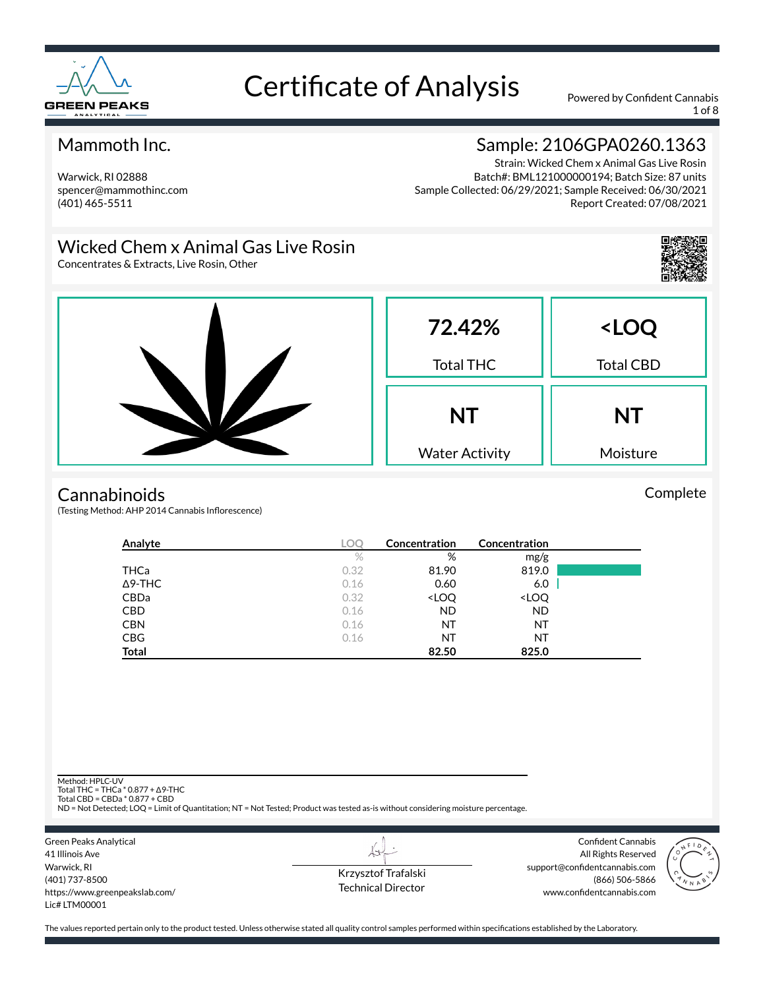

1 of 8

#### Mammoth Inc.

Warwick, RI 02888 spencer@mammothinc.com (401) 465-5511

## Sample: 2106GPA0260.1363

Strain: Wicked Chem x Animal Gas Live Rosin Batch#: BML121000000194; Batch Size: 87 units Sample Collected: 06/29/2021; Sample Received: 06/30/2021 Report Created: 07/08/2021

#### Wicked Chem x Animal Gas Live Rosin

Concentrates & Extracts, Live Rosin, Other



#### **Cannabinoids**

(Testing Method: AHP 2014 Cannabis Inflorescence)

| Analyte        | <b>LOC</b> | Concentration                                            | Concentration                |  |
|----------------|------------|----------------------------------------------------------|------------------------------|--|
|                | $\%$       | %                                                        | mg/g                         |  |
| THCa           | 0.32       | 81.90                                                    | 819.0                        |  |
| $\Delta$ 9-THC | 0.16       | 0.60                                                     | 6.0                          |  |
| <b>CBDa</b>    | 0.32       | <loq< td=""><td><loq< td=""><td></td></loq<></td></loq<> | <loq< td=""><td></td></loq<> |  |
| <b>CBD</b>     | 0.16       | <b>ND</b>                                                | <b>ND</b>                    |  |
| <b>CBN</b>     | 0.16       | NT                                                       | NT                           |  |
| <b>CBG</b>     | 0.16       | ΝT                                                       | NT                           |  |
| <b>Total</b>   |            | 82.50                                                    | 825.0                        |  |

Method: HPLC-UV

Total THC = THCa \* 0.877 + ∆9-THC Total CBD = CBDa \* 0.877 + CBD

ND = Not Detected; LOQ = Limit of Quantitation; NT = Not Tested; Product was tested as-is without considering moisture percentage.



Krzysztof Trafalski Technical Director

LI

Confident Cannabis All Rights Reserved support@confidentcannabis.com (866) 506-5866 www.confidentcannabis.com



The values reported pertain only to the product tested. Unless otherwise stated all quality control samples performed within specifications established by the Laboratory.

Complete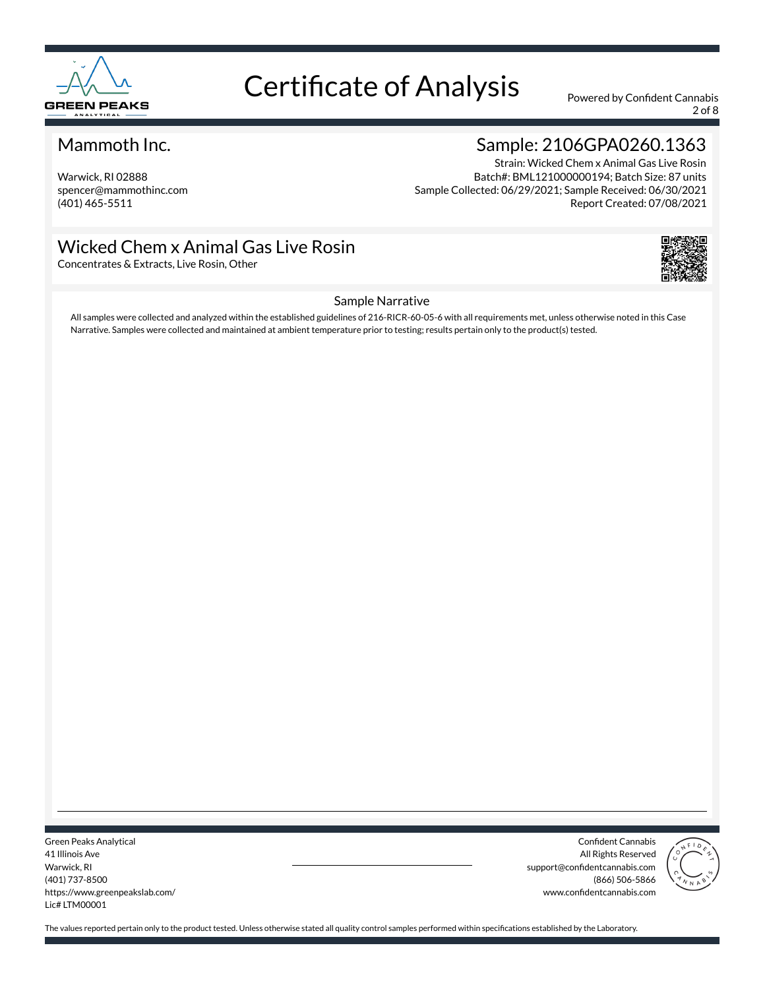

2 of 8

#### Mammoth Inc.

Warwick, RI 02888 spencer@mammothinc.com (401) 465-5511

## Sample: 2106GPA0260.1363

Strain: Wicked Chem x Animal Gas Live Rosin Batch#: BML121000000194; Batch Size: 87 units Sample Collected: 06/29/2021; Sample Received: 06/30/2021 Report Created: 07/08/2021

#### Wicked Chem x Animal Gas Live Rosin

Concentrates & Extracts, Live Rosin, Other



#### Sample Narrative

All samples were collected and analyzed within the established guidelines of 216-RICR-60-05-6 with all requirements met, unless otherwise noted in this Case Narrative. Samples were collected and maintained at ambient temperature prior to testing; results pertain only to the product(s) tested.

Green Peaks Analytical 41 Illinois Ave Warwick, RI (401) 737-8500 https://www.greenpeakslab.com/ Lic# LTM00001

Confident Cannabis All Rights Reserved support@confidentcannabis.com (866) 506-5866 www.confidentcannabis.com

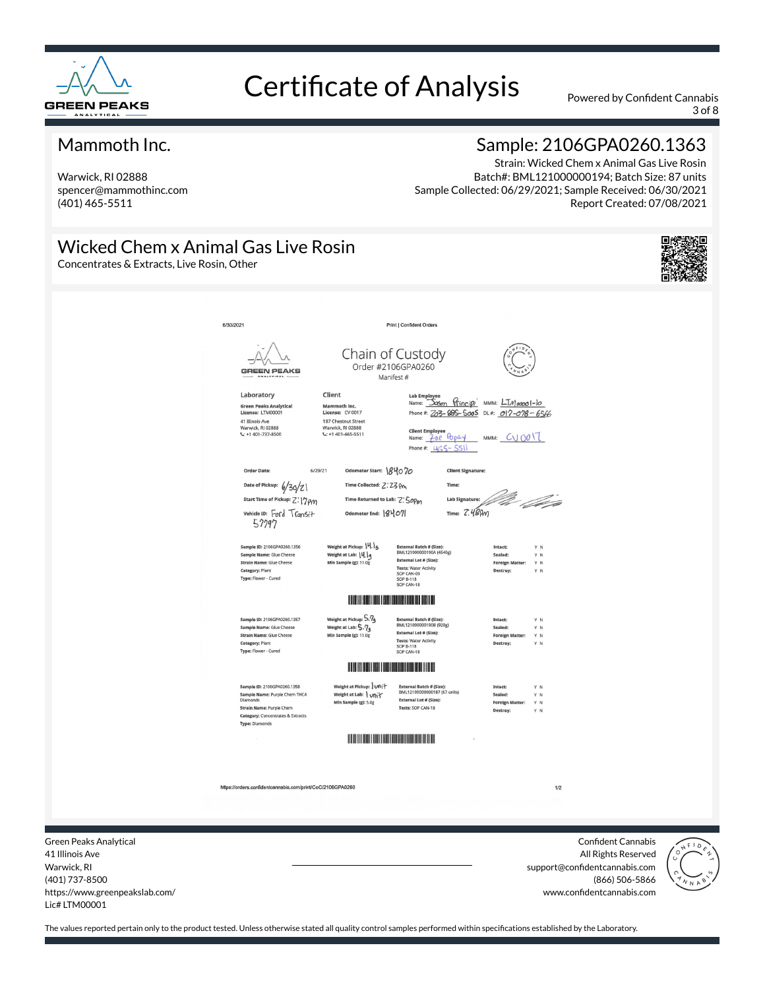

3 of 8

#### Mammoth Inc.

Warwick, RI 02888 spencer@mammothinc.com (401) 465-5511

### Sample: 2106GPA0260.1363

Strain: Wicked Chem x Animal Gas Live Rosin Batch#: BML121000000194; Batch Size: 87 units Sample Collected: 06/29/2021; Sample Received: 06/30/2021 Report Created: 07/08/2021

#### Wicked Chem x Animal Gas Live Rosin

Concentrates & Extracts, Live Rosin, Other



| 6/30/2021 |                                                                                                                                                                                                                                                      | Print   Confident Orders                                                                                                                                                                         |                                                                                                          |  |
|-----------|------------------------------------------------------------------------------------------------------------------------------------------------------------------------------------------------------------------------------------------------------|--------------------------------------------------------------------------------------------------------------------------------------------------------------------------------------------------|----------------------------------------------------------------------------------------------------------|--|
|           | <b>GREEN PEAKS</b><br><b>NALYTICAL</b>                                                                                                                                                                                                               | Chain of Custody<br>Order #2106GPA0260<br>Manifest #                                                                                                                                             |                                                                                                          |  |
|           | Client<br>Laboratory<br><b>Green Peaks Analytical</b><br>Mammoth Inc.<br>License: LTM00001<br>License: CV 0017<br>41 Illinois Ave<br>187 Chestnut Street<br>Warwick, RI 02888<br>Warwick, RI 02888<br>$L: +1401 - 737 - 8500$<br>$C: +1401-465-5511$ | <b>Lab Employe</b><br><b>Client Employee</b><br>70e Papay<br>Name:<br>Phone#: $465 -$                                                                                                            | Name: Joson Principi MMM: LTM00001-10<br>Phone #: 263-685-5005 DL#: 017-078-6566<br>MMM: $CV1001$<br>551 |  |
|           | <b>Order Date:</b><br>6/29/21                                                                                                                                                                                                                        | Odometer Start: 84070                                                                                                                                                                            | <b>Client Signature:</b>                                                                                 |  |
|           | Date of Pickup: 6/30/2)<br>Start Time of Pickup: Z: 17 PM<br>vehicle ID: Ford Transit<br>57797                                                                                                                                                       | Time Collected: 2:23 Pm<br>Time Returned to Lab: Z: 50Pm<br>Odometer End: 8407                                                                                                                   | Time:<br>Va l papa<br><b>Lab Signature:</b><br>Time: $Z.489m$                                            |  |
|           | Sample ID: 2106GPA0260.1356<br>Weight at Lab:  4. q<br>Sample Name: Glue Cheese<br>Strain Name: Glue Cheese<br>Min Sample (g): 11.0g<br>Category: Plant<br>Type: Flower - Cured                                                                      | Weight at Pickup: 14.1g<br>External Batch # (Size):<br>BML121000000190A (4540g)<br><b>External Lot # (Size):</b><br><b>Tests: Water Activity</b><br>SOP CAN-03<br><b>SOP B-118</b><br>SOP CAN-18 | Intact:<br>YN<br>Sealed:<br>$\mathsf{Y}~\mathsf{N}$<br><b>Foreign Matter:</b><br>YN<br>Destroy:<br>Y N   |  |
|           |                                                                                                                                                                                                                                                      | <b>IF A REAL PROPERTY AND A REAL PROPERTY AND REAL PROPERTY.</b>                                                                                                                                 |                                                                                                          |  |
|           | Sample ID: 2106GPA0260.1357<br>Weight at Lab: 5.74<br>Sample Name: Glue Cheese<br><b>Strain Name: Glue Cheese</b><br>Min Sample (g): 11.0g<br>Category: Plant<br>Type: Flower - Cured                                                                | Weight at Pickup: 5.74<br><b>External Ratch # (Size):</b><br>BML121000000190B (920g)<br><b>External Lot # (Size):</b><br><b>Tests: Water Activity</b><br><b>SOP B-118</b><br>SOP CAN-18          | Intact:<br>Y N<br>Sealed:<br>Y N<br><b>Foreign Matter:</b><br>Y N<br>Destroy:<br>Y N                     |  |
|           |                                                                                                                                                                                                                                                      | <b>The Community of Community</b>                                                                                                                                                                |                                                                                                          |  |
|           | Sample ID: 2106GPA0260.1358<br>Sample Name: Purple Chem THCA<br><b>Diamonds</b><br>Strain Name: Purple Chem<br><b>Category: Concentrates &amp; Extracts</b><br><b>Type: Diamonds</b>                                                                 | Weight at Pickup: Unit<br>External Batch # (Size):<br>BML12100000000187 (67 units)<br>Weight at Lab:   unit<br><b>External Lot # (Size):</b><br>Min Sample (g): 5.0g<br>Tests: SOP CAN-18        | Intact:<br>YN<br>Sealed:<br>Y N<br><b>Foreign Matter:</b><br>YN<br>Destroy:<br>YN                        |  |
|           |                                                                                                                                                                                                                                                      | <b>IN THE REAL PROPERTY AND REAL PROPERTY.</b>                                                                                                                                                   |                                                                                                          |  |
|           |                                                                                                                                                                                                                                                      |                                                                                                                                                                                                  |                                                                                                          |  |
|           | https://orders.confidentcannabis.com/print/CoC/2106GPA0260                                                                                                                                                                                           |                                                                                                                                                                                                  | 1/2                                                                                                      |  |
|           |                                                                                                                                                                                                                                                      |                                                                                                                                                                                                  |                                                                                                          |  |
|           |                                                                                                                                                                                                                                                      |                                                                                                                                                                                                  |                                                                                                          |  |

41 Illinois Ave Warwick, RI (401) 737-8500 https://www.greenpeakslab.com/ Lic# LTM00001

Green

All Rights Reserved support@confidentcannabis.com (866) 506-5866 www.confidentcannabis.com

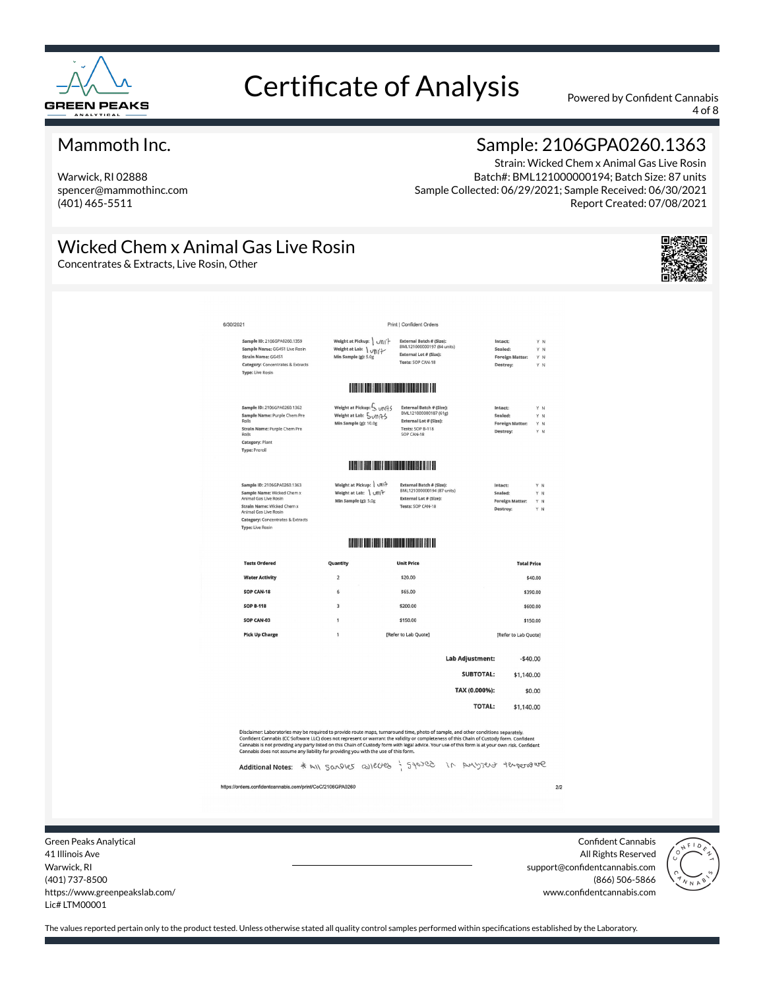

4 of 8

#### Mammoth Inc.

Warwick, RI 02888 spencer@mammothinc.com (401) 465-5511

#### Sample: 2106GPA0260.1363

Strain: Wicked Chem x Animal Gas Live Rosin Batch#: BML121000000194; Batch Size: 87 units Sample Collected: 06/29/2021; Sample Received: 06/30/2021 Report Created: 07/08/2021

## Wicked Chem x Animal Gas Live Rosin

Concentrates & Extracts, Live Rosin, Other



| 6/30/2021      |                                                                                                                                                                                                                                                                                                                                                                                                                                                                                                                                                                                                      |                                                                             | <b>Print   Confident Orders</b>                                                                               |                                     |                                                          |                          |
|----------------|------------------------------------------------------------------------------------------------------------------------------------------------------------------------------------------------------------------------------------------------------------------------------------------------------------------------------------------------------------------------------------------------------------------------------------------------------------------------------------------------------------------------------------------------------------------------------------------------------|-----------------------------------------------------------------------------|---------------------------------------------------------------------------------------------------------------|-------------------------------------|----------------------------------------------------------|--------------------------|
|                | Sample ID: 2106GPA0260.1359<br>Sample Name: GG4S1 Live Rosin<br>Strain Name: GG4S1<br>Category: Concentrates & Extracts<br><b>Type: Live Rosin</b>                                                                                                                                                                                                                                                                                                                                                                                                                                                   | Weight at Pickup: Uni+<br>Weight at Lab: \ vni+<br>Min Sample (g): 5.0g     | External Batch # (Size):<br>BML121000000197 (84 units)<br>External Lot # (Size):<br>Tests: SOP CAN-18         |                                     | Intact:<br>Sealed:<br><b>Foreign Matter:</b><br>Destroy: | Y N<br>Y N<br>Y N<br>Y N |
|                |                                                                                                                                                                                                                                                                                                                                                                                                                                                                                                                                                                                                      | <b>THE REAL PROPERTY OF PERSON</b>                                          |                                                                                                               |                                     |                                                          |                          |
| Rolls<br>Rolls | Sample ID: 2106GPA0260.1362<br>Sample Name: Purple Chem Pre<br>Strain Name: Purple Chem Pre<br>Category: Plant<br>Type: Preroli                                                                                                                                                                                                                                                                                                                                                                                                                                                                      | Weight at Pickup: 5 UNI+5<br>Weight at Lab: 5 UMPS<br>Min Sample (g): 10.0g | External Batch # (Size):<br>BML121000000187 (61g)<br>External Lot # (Size):<br>Tests: SOP B-118<br>SOP CAN-18 |                                     | Intact:<br>Sealed:<br><b>Foreign Matter:</b><br>Destroy: | Y N<br>Y N<br>YN<br>Y N  |
|                |                                                                                                                                                                                                                                                                                                                                                                                                                                                                                                                                                                                                      | <u> Haller Harrison (d. 1989)</u>                                           |                                                                                                               |                                     |                                                          |                          |
|                | Sample ID: 2106GPA0260.1363<br>Sample Name: Wicked Chem x<br>Animal Gas Live Rosin<br>Strain Name: Wicked Chem x<br>Animal Gas Live Rosin<br><b>Category: Concentrates &amp; Extracts</b><br>Type: Live Rosin                                                                                                                                                                                                                                                                                                                                                                                        | Weight at Pickup: Uni+<br>Weight at Lab: \ un +<br>Min Sample (g): 5.0g     | External Batch # (Size):<br>BML121000000194 (87 units)<br>External Lot # (Size):<br>Tests: SOP CAN-18         |                                     | Intact:<br>Sealed:<br><b>Foreign Matter:</b><br>Destroy: | YN<br>Y N<br>Y N<br>Y N  |
|                |                                                                                                                                                                                                                                                                                                                                                                                                                                                                                                                                                                                                      | <b>THE REAL PROPERTY OF STATE</b>                                           |                                                                                                               |                                     |                                                          |                          |
|                | <b>Tests Ordered</b>                                                                                                                                                                                                                                                                                                                                                                                                                                                                                                                                                                                 | Quantity                                                                    | <b>Unit Price</b>                                                                                             |                                     | <b>Total Price</b>                                       |                          |
|                | <b>Water Activity</b>                                                                                                                                                                                                                                                                                                                                                                                                                                                                                                                                                                                | $\overline{2}$                                                              | \$20.00                                                                                                       |                                     |                                                          | \$40.00                  |
|                | SOP CAN-18                                                                                                                                                                                                                                                                                                                                                                                                                                                                                                                                                                                           | 6                                                                           | \$65.00                                                                                                       |                                     | \$390.00                                                 |                          |
|                | <b>SOP B-118</b><br>SOP CAN-03                                                                                                                                                                                                                                                                                                                                                                                                                                                                                                                                                                       | $\overline{\mathbf{3}}$<br>$\mathbf{1}$                                     | \$200.00<br>\$150.00                                                                                          |                                     | \$600.00<br>\$150.00                                     |                          |
|                | <b>Pick Up Charge</b>                                                                                                                                                                                                                                                                                                                                                                                                                                                                                                                                                                                | 1                                                                           | [Refer to Lab Quote]                                                                                          |                                     | [Refer to Lab Quote]                                     |                          |
|                |                                                                                                                                                                                                                                                                                                                                                                                                                                                                                                                                                                                                      |                                                                             |                                                                                                               |                                     |                                                          |                          |
|                |                                                                                                                                                                                                                                                                                                                                                                                                                                                                                                                                                                                                      |                                                                             |                                                                                                               | <b>Lab Adjustment:</b><br>SUBTOTAL: | $-$40.00$<br>\$1,140.00                                  |                          |
|                |                                                                                                                                                                                                                                                                                                                                                                                                                                                                                                                                                                                                      |                                                                             |                                                                                                               | TAX (0.000%):                       |                                                          | \$0.00                   |
|                |                                                                                                                                                                                                                                                                                                                                                                                                                                                                                                                                                                                                      |                                                                             |                                                                                                               | <b>TOTAL:</b>                       | \$1,140.00                                               |                          |
|                | Disclaimer: Laboratories may be required to provide route maps, turnaround time, photo of sample, and other conditions separately.<br>Confident Cannabis (CC Software LLC) does not represent or warrant the validity or completeness of this Chain of Custody form. Confident<br>Cannabis is not providing any party listed on this Chain of Custody form with legal advice. Your use of this form is at your own risk. Confident<br>Cannabis does not assume any liability for providing you with the use of this form.<br>Additional Notes: * All Sandles avecues : 540700 in AMYJOUT temperature |                                                                             |                                                                                                               |                                     |                                                          |                          |
|                | https://orders.confidentcannabis.com/print/CoC/2106GPA0260                                                                                                                                                                                                                                                                                                                                                                                                                                                                                                                                           |                                                                             |                                                                                                               |                                     |                                                          | 2/2                      |
|                |                                                                                                                                                                                                                                                                                                                                                                                                                                                                                                                                                                                                      |                                                                             |                                                                                                               |                                     |                                                          |                          |
|                |                                                                                                                                                                                                                                                                                                                                                                                                                                                                                                                                                                                                      |                                                                             |                                                                                                               |                                     |                                                          |                          |

Green Peaks Analytical 41 Illinois Ave Warwick, RI (401) 737-8500 https://www.greenpeakslab.com/ Lic# LTM00001

Confident Cannabis All Rights Reserved support@confidentcannabis.com (866) 506-5866 www.confidentcannabis.com

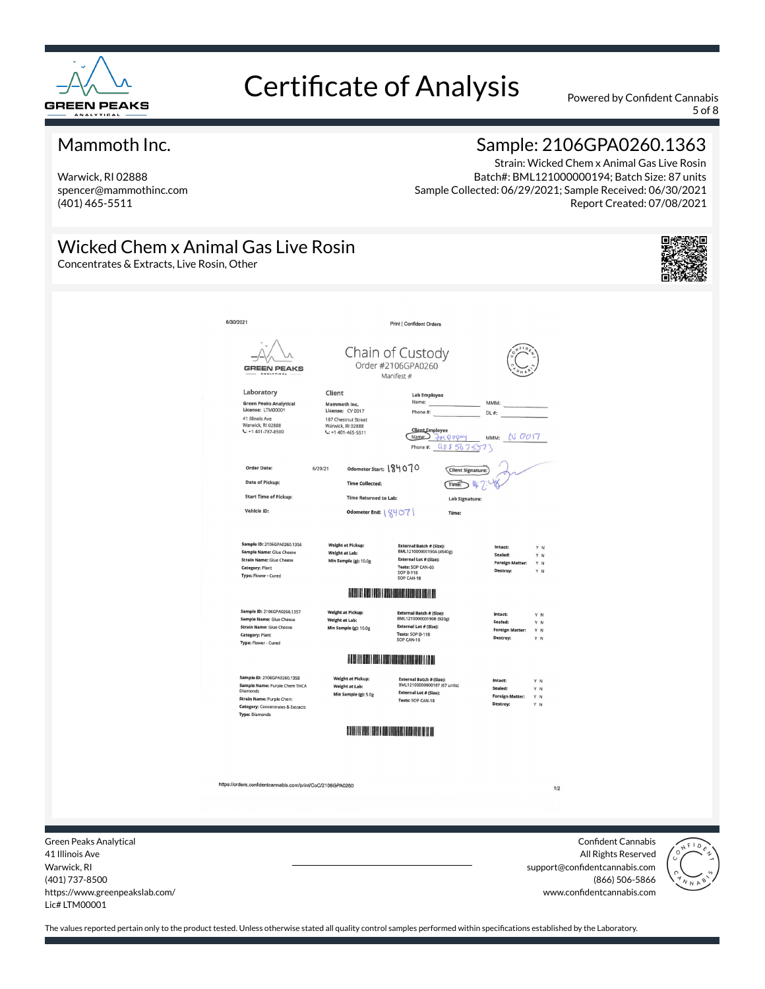

5 of 8

#### Mammoth Inc.

Warwick, RI 02888 spencer@mammothinc.com (401) 465-5511

### Sample: 2106GPA0260.1363

Strain: Wicked Chem x Animal Gas Live Rosin Batch#: BML121000000194; Batch Size: 87 units Sample Collected: 06/29/2021; Sample Received: 06/30/2021 Report Created: 07/08/2021

#### Wicked Chem x Animal Gas Live Rosin

Concentrates & Extracts, Live Rosin, Other



| 6/30/2021                                                                                      |                                                                                                                                                                                                            | <b>Print   Confident Orders</b>                                                                                                                     |                                                                                      |  |  |  |  |
|------------------------------------------------------------------------------------------------|------------------------------------------------------------------------------------------------------------------------------------------------------------------------------------------------------------|-----------------------------------------------------------------------------------------------------------------------------------------------------|--------------------------------------------------------------------------------------|--|--|--|--|
|                                                                                                | <b>GREEN PEAKS</b><br>ANALYTICAL                                                                                                                                                                           | Chain of Custody<br>Order #2106GPA0260<br>Manifest #                                                                                                |                                                                                      |  |  |  |  |
| Laboratory<br>License: LTM00001<br>41 Illinois Ave<br>Warwick, RI 02888<br>$L: +1401-737-8500$ | Client<br><b>Green Peaks Analytical</b><br>Mammoth Inc.<br>License: CV 0017<br>187 Chestnut Street<br>Warwick, RI 02888<br>$C: +1401-465-5511$                                                             | <b>Lab Employee</b><br>Name:<br>Phone #:<br>DL #:<br><b>Client</b> Employee<br>Name <sub>2</sub><br>H<000M<br>MMM:<br>Phone#: Q0556755              | MMM:<br>IVOOT                                                                        |  |  |  |  |
| Order Date:<br><b>Date of Pickup:</b>                                                          | Odometer Start: 184070<br>6/29/21<br><b>Time Collected:</b>                                                                                                                                                | Client Signature:<br>Time:                                                                                                                          |                                                                                      |  |  |  |  |
|                                                                                                | <b>Start Time of Pickup:</b><br><b>Time Returned to Lab:</b>                                                                                                                                               | <b>Lab Signature:</b>                                                                                                                               |                                                                                      |  |  |  |  |
| Vehicle ID:                                                                                    | Odometer End:   X407                                                                                                                                                                                       | Time:                                                                                                                                               |                                                                                      |  |  |  |  |
| <b>Category: Plant</b><br>Type: Flower - Cured                                                 | Sample ID: 2106GPA0260.1356<br><b>Weight at Pickup:</b><br>Sample Name: Glue Cheese<br>Weight at Lab:<br><b>Strain Name: Glue Cheese</b><br>Min Sample (g): 10.0g                                          | <b>External Batch # (Size):</b><br>BML121000000190A (4540g)<br><b>External Lot # (Size):</b><br>Tests: SOP CAN-03<br><b>SOP B-118</b><br>SOP CAN-18 | Intact:<br>Y N<br>Sealed:<br>Y N<br><b>Foreign Matter:</b><br>Y N<br>Destroy:<br>Y N |  |  |  |  |
|                                                                                                | <b>The Community of Community of Community</b>                                                                                                                                                             |                                                                                                                                                     |                                                                                      |  |  |  |  |
| <b>Category: Plant</b><br>Type: Flower - Cured                                                 | Sample ID: 2106GPA0260.1357<br><b>Weight at Pickup:</b><br>Sample Name: Glue Cheese<br>Weight at Lab:<br><b>Strain Name: Glue Cheese</b><br>Min Sample (g): 10.0g                                          | <b>External Batch # (Size):</b><br>BML121000000190B (920g)<br>External Lot # (Size):<br>Tests: SOP B-118<br>SOP CAN-18                              | Intact:<br>YN<br>Sealed:<br>YN<br><b>Foreign Matter:</b><br>Y N<br>Destroy:<br>Y N   |  |  |  |  |
|                                                                                                | <b>THE REAL PROPERTY OF STATE OF PROPERTY</b>                                                                                                                                                              |                                                                                                                                                     |                                                                                      |  |  |  |  |
| Diamonds<br>Type: Diamonds                                                                     | Sample ID: 2106GPA0260.1358<br><b>Weight at Pickup:</b><br>Sample Name: Purple Chem THCA<br>Weight at Lab:<br>Min Sample (g): 5.0g<br>Strain Name: Purple Chem<br><b>Category:</b> Concentrates & Extracts | <b>External Batch # (Size):</b><br>BML12100000000187 (67 units)<br>External Lot # (Size):<br>Tests: SOP CAN-18                                      | Intact:<br>Y N<br>Sealed:<br>Y N<br><b>Foreign Matter:</b><br>Y N<br>Destroy:<br>Y N |  |  |  |  |
|                                                                                                | <b>THE REAL PROPERTY OF A REAL PROPERTY</b>                                                                                                                                                                |                                                                                                                                                     |                                                                                      |  |  |  |  |
|                                                                                                | https://orders.confidentcannabis.com/print/CoC/2106GPA0260                                                                                                                                                 |                                                                                                                                                     | 1/2                                                                                  |  |  |  |  |
|                                                                                                |                                                                                                                                                                                                            |                                                                                                                                                     |                                                                                      |  |  |  |  |

Green Peaks Analytical 41 Illinois Ave Warwick, RI (401) 737-8500 https://www.greenpeakslab.com/ Lic# LTM00001

Confident Cannabis All Rights Reserved support@confidentcannabis.com (866) 506-5866 www.confidentcannabis.com

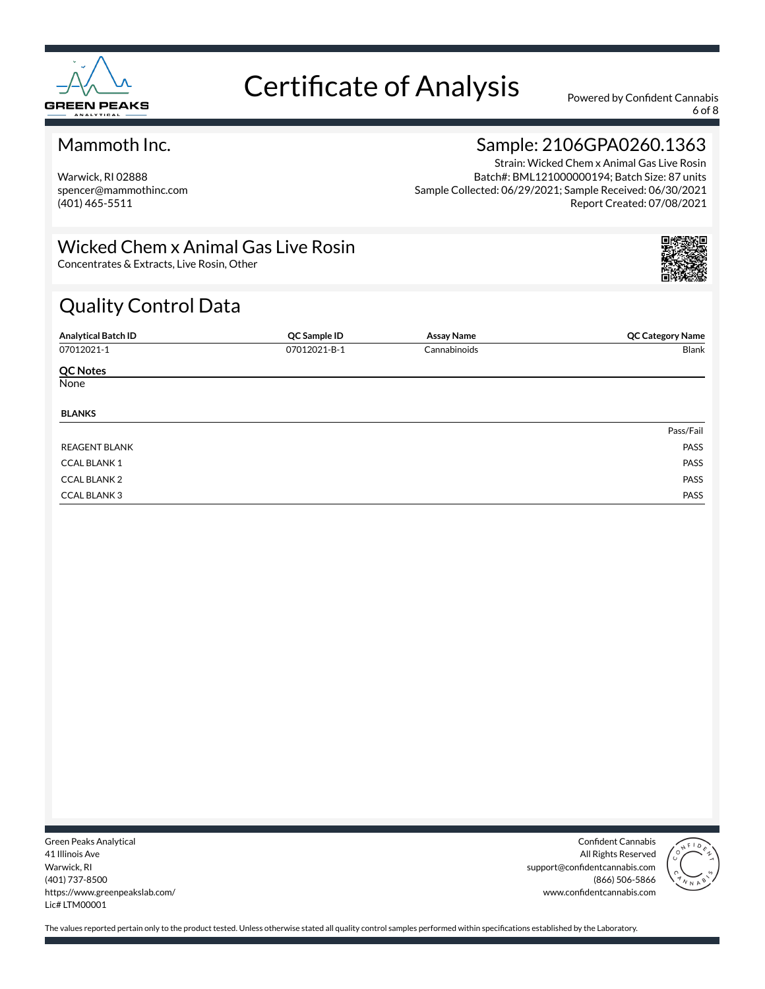

6 of 8

#### Mammoth Inc.

Warwick, RI 02888 spencer@mammothinc.com (401) 465-5511

## Sample: 2106GPA0260.1363

Strain: Wicked Chem x Animal Gas Live Rosin Batch#: BML121000000194; Batch Size: 87 units Sample Collected: 06/29/2021; Sample Received: 06/30/2021 Report Created: 07/08/2021

### Wicked Chem x Animal Gas Live Rosin

Concentrates & Extracts, Live Rosin, Other

## Quality Control Data

| <b>Analytical Batch ID</b> | QC Sample ID | <b>Assay Name</b> | <b>QC Category Name</b> |
|----------------------------|--------------|-------------------|-------------------------|
| 07012021-1                 | 07012021-B-1 | Cannabinoids      | Blank                   |
| <b>QC Notes</b>            |              |                   |                         |
| None                       |              |                   |                         |
| <b>BLANKS</b>              |              |                   |                         |
|                            |              |                   | Pass/Fail               |
| <b>REAGENT BLANK</b>       |              |                   | PASS                    |
| <b>CCAL BLANK1</b>         |              |                   | PASS                    |
| <b>CCAL BLANK 2</b>        |              |                   | PASS                    |
| <b>CCAL BLANK3</b>         |              |                   | PASS                    |

Green Peaks Analytical 41 Illinois Ave Warwick, RI (401) 737-8500 https://www.greenpeakslab.com/ Lic# LTM00001

Confident Cannabis All Rights Reserved support@confidentcannabis.com (866) 506-5866 www.confidentcannabis.com

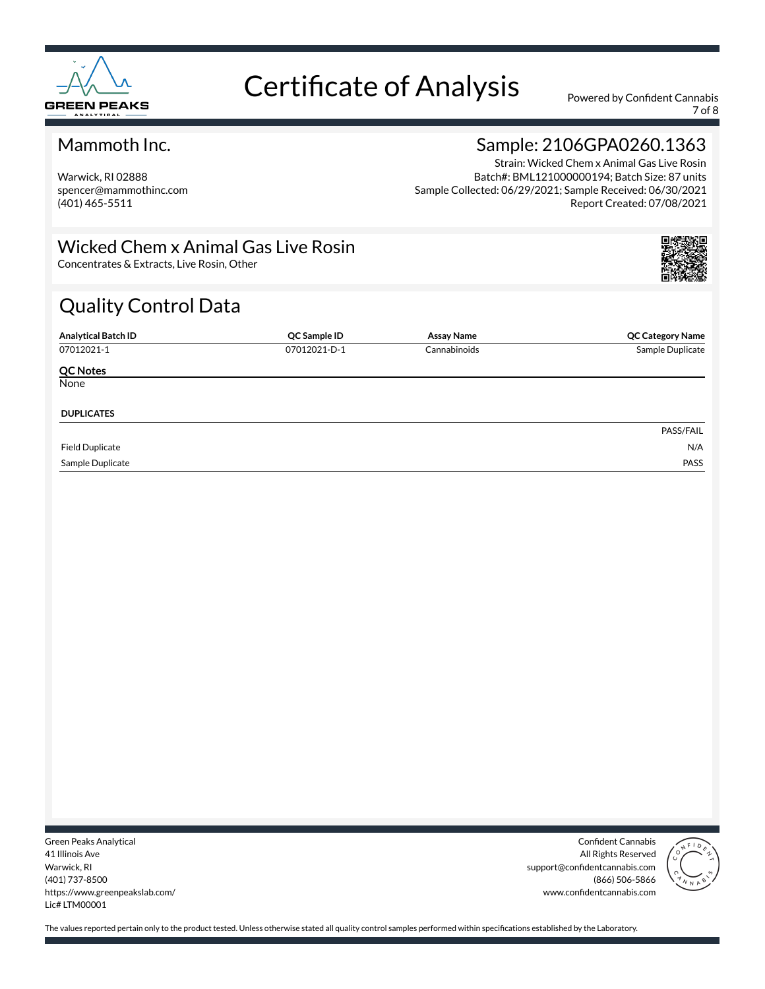

7 of 8

#### Mammoth Inc.

Warwick, RI 02888 spencer@mammothinc.com (401) 465-5511

## Sample: 2106GPA0260.1363

Strain: Wicked Chem x Animal Gas Live Rosin Batch#: BML121000000194; Batch Size: 87 units Sample Collected: 06/29/2021; Sample Received: 06/30/2021 Report Created: 07/08/2021

### Wicked Chem x Animal Gas Live Rosin

Concentrates & Extracts, Live Rosin, Other

## Quality Control Data

| <b>Analytical Batch ID</b> | QC Sample ID | <b>Assay Name</b> | <b>QC Category Name</b> |
|----------------------------|--------------|-------------------|-------------------------|
| 07012021-1                 | 07012021-D-1 | Cannabinoids      | Sample Duplicate        |
| <b>QC Notes</b>            |              |                   |                         |
| None                       |              |                   |                         |
| <b>DUPLICATES</b>          |              |                   |                         |
|                            |              |                   | PASS/FAIL               |
| <b>Field Duplicate</b>     |              |                   | N/A                     |
| Sample Duplicate           |              |                   | PASS                    |

Green Peaks Analytical 41 Illinois Ave Warwick, RI (401) 737-8500 https://www.greenpeakslab.com/ Lic# LTM00001

Confident Cannabis All Rights Reserved support@confidentcannabis.com (866) 506-5866 www.confidentcannabis.com